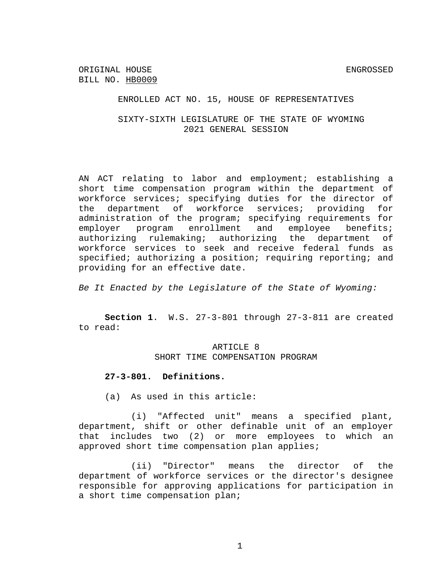ENROLLED ACT NO. 15, HOUSE OF REPRESENTATIVES

SIXTY-SIXTH LEGISLATURE OF THE STATE OF WYOMING 2021 GENERAL SESSION

AN ACT relating to labor and employment; establishing a short time compensation program within the department of workforce services; specifying duties for the director of the department of workforce services; providing for administration of the program; specifying requirements for employer program enrollment and employee benefits; authorizing rulemaking; authorizing the department of workforce services to seek and receive federal funds as specified; authorizing a position; requiring reporting; and providing for an effective date.

*Be It Enacted by the Legislature of the State of Wyoming:*

**Section 1**. W.S. 27-3-801 through 27-3-811 are created to read:

> ARTICLE 8 SHORT TIME COMPENSATION PROGRAM

## **27-3-801. Definitions.**

(a) As used in this article:

(i) "Affected unit" means a specified plant, department, shift or other definable unit of an employer that includes two (2) or more employees to which an approved short time compensation plan applies;

(ii) "Director" means the director of the department of workforce services or the director's designee responsible for approving applications for participation in a short time compensation plan;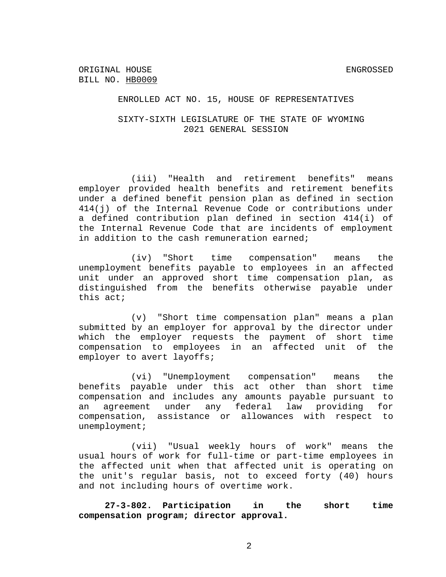#### ENROLLED ACT NO. 15, HOUSE OF REPRESENTATIVES

### SIXTY-SIXTH LEGISLATURE OF THE STATE OF WYOMING 2021 GENERAL SESSION

(iii) "Health and retirement benefits" means employer provided health benefits and retirement benefits under a defined benefit pension plan as defined in section 414(j) of the Internal Revenue Code or contributions under a defined contribution plan defined in section 414(i) of the Internal Revenue Code that are incidents of employment in addition to the cash remuneration earned;

(iv) "Short time compensation" means the unemployment benefits payable to employees in an affected unit under an approved short time compensation plan, as distinguished from the benefits otherwise payable under this act;

(v) "Short time compensation plan" means a plan submitted by an employer for approval by the director under which the employer requests the payment of short time compensation to employees in an affected unit of the employer to avert layoffs;

(vi) "Unemployment compensation" means the benefits payable under this act other than short time compensation and includes any amounts payable pursuant to an agreement under any federal law providing for compensation, assistance or allowances with respect to unemployment;

(vii) "Usual weekly hours of work" means the usual hours of work for full-time or part-time employees in the affected unit when that affected unit is operating on the unit's regular basis, not to exceed forty (40) hours and not including hours of overtime work.

**27-3-802. Participation in the short time compensation program; director approval.**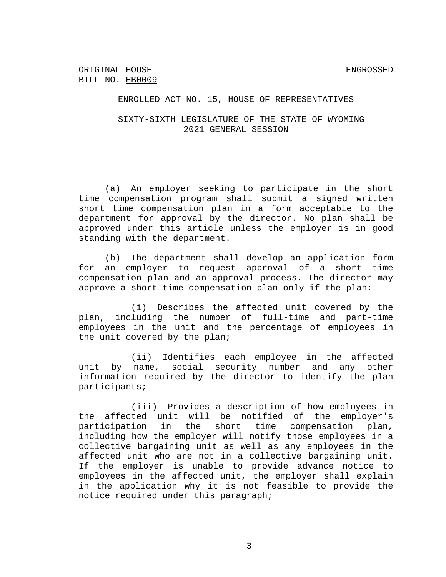ENROLLED ACT NO. 15, HOUSE OF REPRESENTATIVES

SIXTY-SIXTH LEGISLATURE OF THE STATE OF WYOMING 2021 GENERAL SESSION

(a) An employer seeking to participate in the short time compensation program shall submit a signed written short time compensation plan in a form acceptable to the department for approval by the director. No plan shall be approved under this article unless the employer is in good standing with the department.

(b) The department shall develop an application form for an employer to request approval of a short time compensation plan and an approval process. The director may approve a short time compensation plan only if the plan:

(i) Describes the affected unit covered by the plan, including the number of full-time and part-time employees in the unit and the percentage of employees in the unit covered by the plan;

(ii) Identifies each employee in the affected unit by name, social security number and any other information required by the director to identify the plan participants;

(iii) Provides a description of how employees in the affected unit will be notified of the employer's participation in the short time compensation plan, including how the employer will notify those employees in a collective bargaining unit as well as any employees in the affected unit who are not in a collective bargaining unit. If the employer is unable to provide advance notice to employees in the affected unit, the employer shall explain in the application why it is not feasible to provide the notice required under this paragraph;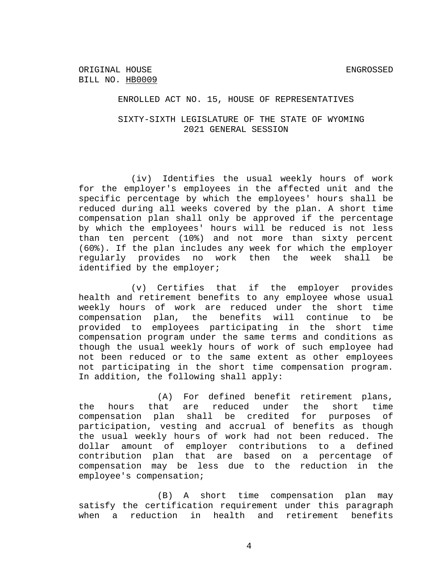## SIXTY-SIXTH LEGISLATURE OF THE STATE OF WYOMING 2021 GENERAL SESSION

(iv) Identifies the usual weekly hours of work for the employer's employees in the affected unit and the specific percentage by which the employees' hours shall be reduced during all weeks covered by the plan. A short time compensation plan shall only be approved if the percentage by which the employees' hours will be reduced is not less than ten percent (10%) and not more than sixty percent (60%). If the plan includes any week for which the employer regularly provides no work then the week shall be identified by the employer;

(v) Certifies that if the employer provides health and retirement benefits to any employee whose usual weekly hours of work are reduced under the short time compensation plan, the benefits will continue to be provided to employees participating in the short time compensation program under the same terms and conditions as though the usual weekly hours of work of such employee had not been reduced or to the same extent as other employees not participating in the short time compensation program. In addition, the following shall apply:

(A) For defined benefit retirement plans, the hours that are reduced under the short time compensation plan shall be credited for purposes of participation, vesting and accrual of benefits as though the usual weekly hours of work had not been reduced. The dollar amount of employer contributions to a defined contribution plan that are based on a percentage of compensation may be less due to the reduction in the employee's compensation;

(B) A short time compensation plan may satisfy the certification requirement under this paragraph when a reduction in health and retirement benefits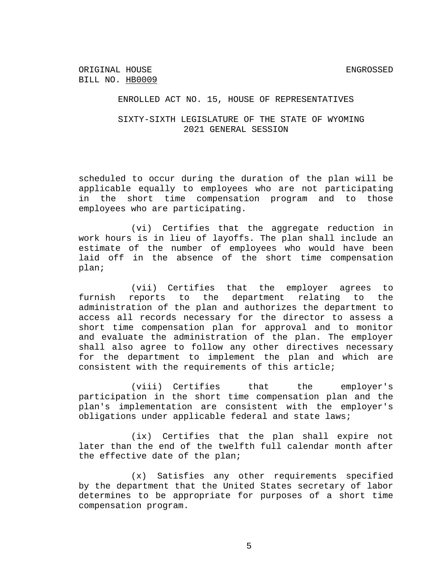## SIXTY-SIXTH LEGISLATURE OF THE STATE OF WYOMING 2021 GENERAL SESSION

scheduled to occur during the duration of the plan will be applicable equally to employees who are not participating in the short time compensation program and to those employees who are participating.

(vi) Certifies that the aggregate reduction in work hours is in lieu of layoffs. The plan shall include an estimate of the number of employees who would have been laid off in the absence of the short time compensation plan;

(vii) Certifies that the employer agrees to furnish reports to the department relating to the administration of the plan and authorizes the department to access all records necessary for the director to assess a short time compensation plan for approval and to monitor and evaluate the administration of the plan. The employer shall also agree to follow any other directives necessary for the department to implement the plan and which are consistent with the requirements of this article;

(viii) Certifies that the employer's participation in the short time compensation plan and the plan's implementation are consistent with the employer's obligations under applicable federal and state laws;

(ix) Certifies that the plan shall expire not later than the end of the twelfth full calendar month after the effective date of the plan;

(x) Satisfies any other requirements specified by the department that the United States secretary of labor determines to be appropriate for purposes of a short time compensation program.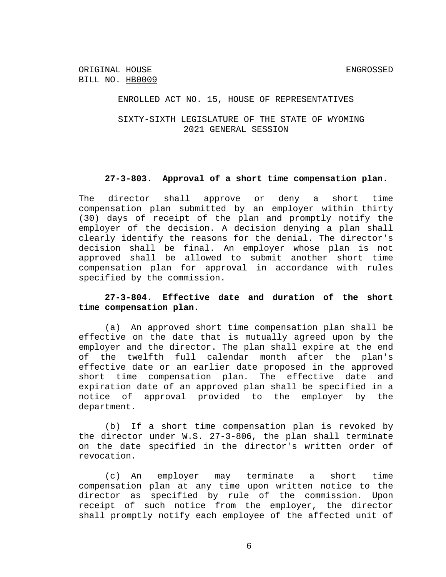ENROLLED ACT NO. 15, HOUSE OF REPRESENTATIVES

SIXTY-SIXTH LEGISLATURE OF THE STATE OF WYOMING 2021 GENERAL SESSION

#### **27-3-803. Approval of a short time compensation plan.**

The director shall approve or deny a short time compensation plan submitted by an employer within thirty (30) days of receipt of the plan and promptly notify the employer of the decision. A decision denying a plan shall clearly identify the reasons for the denial. The director's decision shall be final. An employer whose plan is not approved shall be allowed to submit another short time compensation plan for approval in accordance with rules specified by the commission.

## **27-3-804. Effective date and duration of the short time compensation plan.**

(a) An approved short time compensation plan shall be effective on the date that is mutually agreed upon by the employer and the director. The plan shall expire at the end of the twelfth full calendar month after the plan's effective date or an earlier date proposed in the approved short time compensation plan. The effective date and expiration date of an approved plan shall be specified in a notice of approval provided to the employer by the department.

(b) If a short time compensation plan is revoked by the director under W.S. 27-3-806, the plan shall terminate on the date specified in the director's written order of revocation.

(c) An employer may terminate a short time compensation plan at any time upon written notice to the director as specified by rule of the commission. Upon receipt of such notice from the employer, the director shall promptly notify each employee of the affected unit of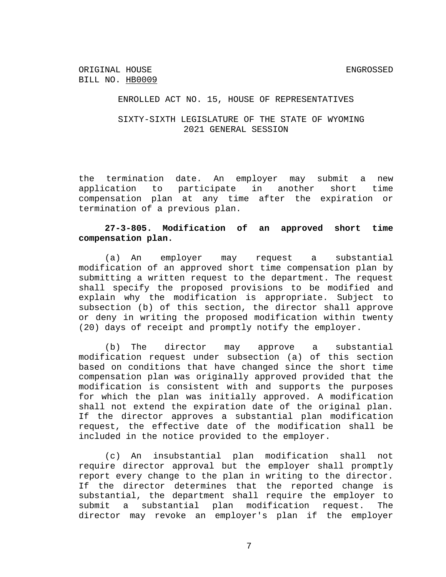## SIXTY-SIXTH LEGISLATURE OF THE STATE OF WYOMING 2021 GENERAL SESSION

the termination date. An employer may submit a new application to participate in another short time compensation plan at any time after the expiration or termination of a previous plan.

## **27-3-805. Modification of an approved short time compensation plan.**

(a) An employer may request a substantial modification of an approved short time compensation plan by submitting a written request to the department. The request shall specify the proposed provisions to be modified and explain why the modification is appropriate. Subject to subsection (b) of this section, the director shall approve or deny in writing the proposed modification within twenty (20) days of receipt and promptly notify the employer.

(b) The director may approve a substantial modification request under subsection (a) of this section based on conditions that have changed since the short time compensation plan was originally approved provided that the modification is consistent with and supports the purposes for which the plan was initially approved. A modification shall not extend the expiration date of the original plan. If the director approves a substantial plan modification request, the effective date of the modification shall be included in the notice provided to the employer.

(c) An insubstantial plan modification shall not require director approval but the employer shall promptly report every change to the plan in writing to the director. If the director determines that the reported change is substantial, the department shall require the employer to submit a substantial plan modification request. The director may revoke an employer's plan if the employer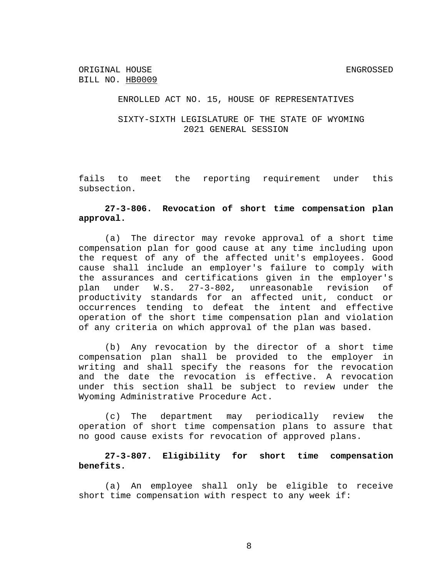### SIXTY-SIXTH LEGISLATURE OF THE STATE OF WYOMING 2021 GENERAL SESSION

fails to meet the reporting requirement under this subsection.

# **27-3-806. Revocation of short time compensation plan approval.**

(a) The director may revoke approval of a short time compensation plan for good cause at any time including upon the request of any of the affected unit's employees. Good cause shall include an employer's failure to comply with the assurances and certifications given in the employer's plan under W.S. 27-3-802, unreasonable revision of productivity standards for an affected unit, conduct or occurrences tending to defeat the intent and effective operation of the short time compensation plan and violation of any criteria on which approval of the plan was based.

(b) Any revocation by the director of a short time compensation plan shall be provided to the employer in writing and shall specify the reasons for the revocation and the date the revocation is effective. A revocation under this section shall be subject to review under the Wyoming Administrative Procedure Act.

(c) The department may periodically review the operation of short time compensation plans to assure that no good cause exists for revocation of approved plans.

# **27-3-807. Eligibility for short time compensation benefits.**

(a) An employee shall only be eligible to receive short time compensation with respect to any week if: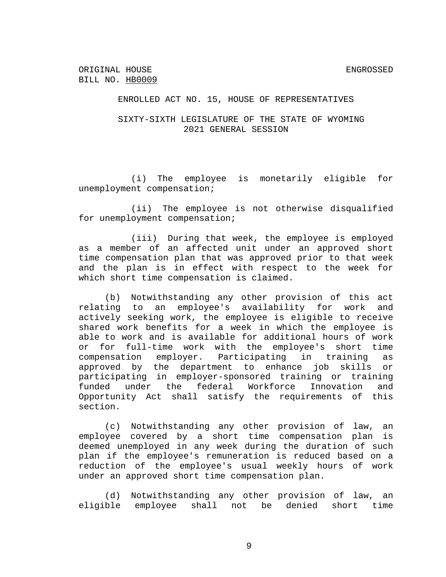## SIXTY-SIXTH LEGISLATURE OF THE STATE OF WYOMING 2021 GENERAL SESSION

(i) The employee is monetarily eligible for unemployment compensation;

(ii) The employee is not otherwise disqualified for unemployment compensation;

(iii) During that week, the employee is employed as a member of an affected unit under an approved short time compensation plan that was approved prior to that week and the plan is in effect with respect to the week for which short time compensation is claimed.

(b) Notwithstanding any other provision of this act relating to an employee's availability for work and actively seeking work, the employee is eligible to receive shared work benefits for a week in which the employee is able to work and is available for additional hours of work or for full-time work with the employee's short time compensation employer. Participating in training as approved by the department to enhance job skills or participating in employer-sponsored training or training funded under the federal Workforce Innovation and Opportunity Act shall satisfy the requirements of this section.

(c) Notwithstanding any other provision of law, an employee covered by a short time compensation plan is deemed unemployed in any week during the duration of such plan if the employee's remuneration is reduced based on a reduction of the employee's usual weekly hours of work under an approved short time compensation plan.

(d) Notwithstanding any other provision of law, an eligible employee shall not be denied short time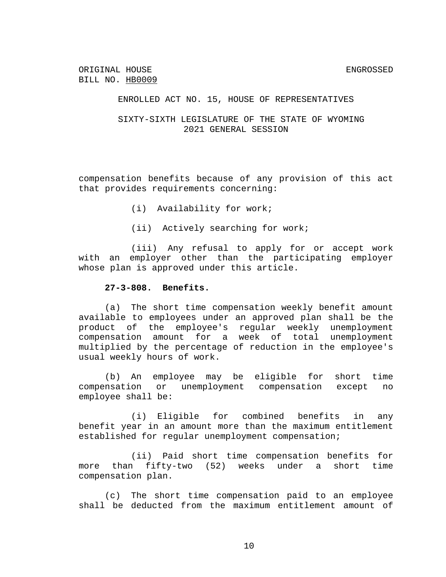## SIXTY-SIXTH LEGISLATURE OF THE STATE OF WYOMING 2021 GENERAL SESSION

compensation benefits because of any provision of this act that provides requirements concerning:

- (i) Availability for work;
- (ii) Actively searching for work;

(iii) Any refusal to apply for or accept work with an employer other than the participating employer whose plan is approved under this article.

#### **27-3-808. Benefits.**

(a) The short time compensation weekly benefit amount available to employees under an approved plan shall be the product of the employee's regular weekly unemployment compensation amount for a week of total unemployment multiplied by the percentage of reduction in the employee's usual weekly hours of work.

(b) An employee may be eligible for short time compensation or unemployment compensation except no employee shall be:

(i) Eligible for combined benefits in any benefit year in an amount more than the maximum entitlement established for regular unemployment compensation;

(ii) Paid short time compensation benefits for more than fifty-two (52) weeks under a short time compensation plan.

(c) The short time compensation paid to an employee shall be deducted from the maximum entitlement amount of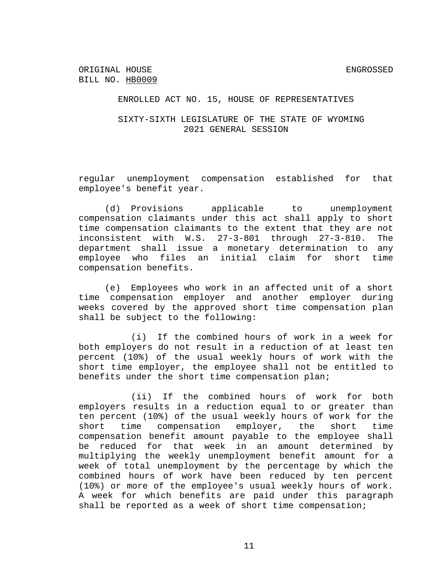### SIXTY-SIXTH LEGISLATURE OF THE STATE OF WYOMING 2021 GENERAL SESSION

regular unemployment compensation established for that employee's benefit year.

(d) Provisions applicable to unemployment compensation claimants under this act shall apply to short time compensation claimants to the extent that they are not inconsistent with W.S. 27-3-801 through 27-3-810. The department shall issue a monetary determination to any employee who files an initial claim for short time compensation benefits.

(e) Employees who work in an affected unit of a short time compensation employer and another employer during weeks covered by the approved short time compensation plan shall be subject to the following:

(i) If the combined hours of work in a week for both employers do not result in a reduction of at least ten percent (10%) of the usual weekly hours of work with the short time employer, the employee shall not be entitled to benefits under the short time compensation plan;

(ii) If the combined hours of work for both employers results in a reduction equal to or greater than ten percent (10%) of the usual weekly hours of work for the short time compensation employer, the short time compensation benefit amount payable to the employee shall be reduced for that week in an amount determined by multiplying the weekly unemployment benefit amount for a week of total unemployment by the percentage by which the combined hours of work have been reduced by ten percent (10%) or more of the employee's usual weekly hours of work. A week for which benefits are paid under this paragraph shall be reported as a week of short time compensation;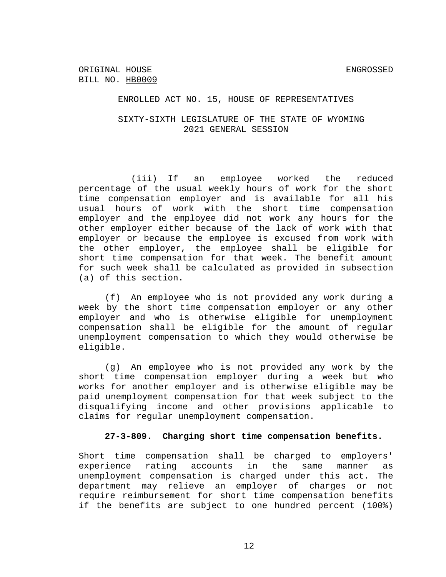#### ENROLLED ACT NO. 15, HOUSE OF REPRESENTATIVES

## SIXTY-SIXTH LEGISLATURE OF THE STATE OF WYOMING 2021 GENERAL SESSION

(iii) If an employee worked the reduced percentage of the usual weekly hours of work for the short time compensation employer and is available for all his usual hours of work with the short time compensation employer and the employee did not work any hours for the other employer either because of the lack of work with that employer or because the employee is excused from work with the other employer, the employee shall be eligible for short time compensation for that week. The benefit amount for such week shall be calculated as provided in subsection (a) of this section.

(f) An employee who is not provided any work during a week by the short time compensation employer or any other employer and who is otherwise eligible for unemployment compensation shall be eligible for the amount of regular unemployment compensation to which they would otherwise be eligible.

(g) An employee who is not provided any work by the short time compensation employer during a week but who works for another employer and is otherwise eligible may be paid unemployment compensation for that week subject to the disqualifying income and other provisions applicable to claims for regular unemployment compensation.

#### **27-3-809. Charging short time compensation benefits.**

Short time compensation shall be charged to employers' experience rating accounts in the same manner as unemployment compensation is charged under this act. The department may relieve an employer of charges or not require reimbursement for short time compensation benefits if the benefits are subject to one hundred percent (100%)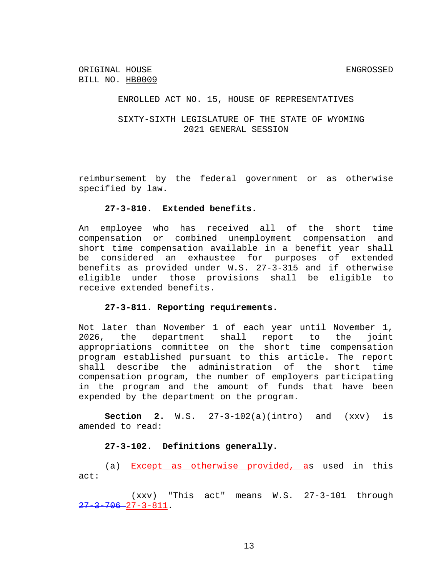## SIXTY-SIXTH LEGISLATURE OF THE STATE OF WYOMING 2021 GENERAL SESSION

reimbursement by the federal government or as otherwise specified by law.

#### **27-3-810. Extended benefits.**

An employee who has received all of the short time compensation or combined unemployment compensation and short time compensation available in a benefit year shall be considered an exhaustee for purposes of extended benefits as provided under W.S. 27-3-315 and if otherwise eligible under those provisions shall be eligible to receive extended benefits.

#### **27-3-811. Reporting requirements.**

Not later than November 1 of each year until November 1, 2026, the department shall report to the joint appropriations committee on the short time compensation program established pursuant to this article. The report shall describe the administration of the short time compensation program, the number of employers participating in the program and the amount of funds that have been expended by the department on the program.

**Section 2.** W.S. 27-3-102(a)(intro) and (xxv) is amended to read:

## **27-3-102. Definitions generally.**

(a) Except as otherwise provided, as used in this act:

(xxv) "This act" means W.S. 27-3-101 through  $27 - 3 - 706 - 27 - 3 - 811$ .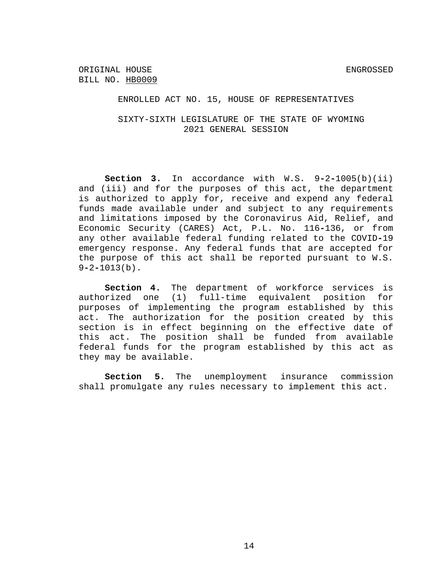ENROLLED ACT NO. 15, HOUSE OF REPRESENTATIVES

SIXTY-SIXTH LEGISLATURE OF THE STATE OF WYOMING 2021 GENERAL SESSION

**Section 3.** In accordance with W.S. 9**-**2**-**1005(b)(ii) and (iii) and for the purposes of this act, the department is authorized to apply for, receive and expend any federal funds made available under and subject to any requirements and limitations imposed by the Coronavirus Aid, Relief, and Economic Security (CARES) Act, P.L. No. 116**-**136, or from any other available federal funding related to the COVID**-**19 emergency response. Any federal funds that are accepted for the purpose of this act shall be reported pursuant to W.S. 9**-**2**-**1013(b).

**Section 4.** The department of workforce services is authorized one (1) full-time equivalent position for purposes of implementing the program established by this act. The authorization for the position created by this section is in effect beginning on the effective date of this act. The position shall be funded from available federal funds for the program established by this act as they may be available.

**Section 5.** The unemployment insurance commission shall promulgate any rules necessary to implement this act.